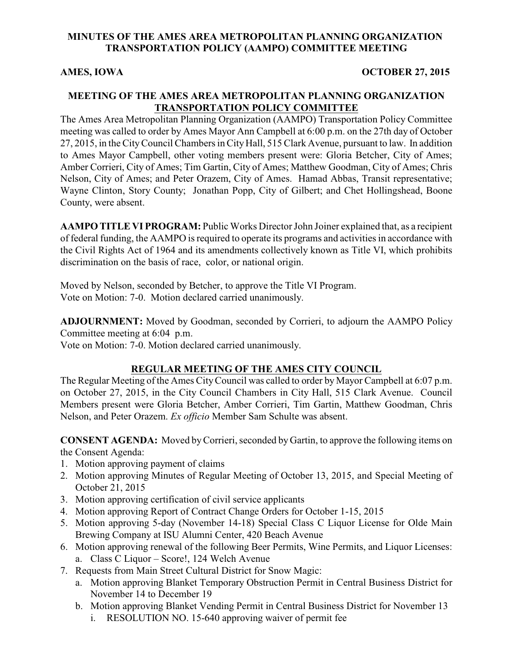# **MINUTES OF THE AMES AREA METROPOLITAN PLANNING ORGANIZATION TRANSPORTATION POLICY (AAMPO) COMMITTEE MEETING**

### **AMES, IOWA OCTOBER 27, 2015**

# **MEETING OF THE AMES AREA METROPOLITAN PLANNING ORGANIZATION TRANSPORTATION POLICY COMMITTEE**

The Ames Area Metropolitan Planning Organization (AAMPO) Transportation Policy Committee meeting was called to order by Ames Mayor Ann Campbell at 6:00 p.m. on the 27th day of October 27, 2015, in the City Council Chambers in City Hall, 515 Clark Avenue, pursuant to law. In addition to Ames Mayor Campbell, other voting members present were: Gloria Betcher, City of Ames; Amber Corrieri, City of Ames; Tim Gartin, City of Ames; Matthew Goodman, City of Ames; Chris Nelson, City of Ames; and Peter Orazem, City of Ames. Hamad Abbas, Transit representative; Wayne Clinton, Story County; Jonathan Popp, City of Gilbert; and Chet Hollingshead, Boone County, were absent.

**AAMPO TITLE VI PROGRAM:** Public Works Director John Joiner explained that, as a recipient of federal funding, the AAMPO is required to operate its programs and activities in accordance with the Civil Rights Act of 1964 and its amendments collectively known as Title VI, which prohibits discrimination on the basis of race, color, or national origin.

Moved by Nelson, seconded by Betcher, to approve the Title VI Program. Vote on Motion: 7-0. Motion declared carried unanimously.

**ADJOURNMENT:** Moved by Goodman, seconded by Corrieri, to adjourn the AAMPO Policy Committee meeting at 6:04 p.m.

Vote on Motion: 7-0. Motion declared carried unanimously.

# **REGULAR MEETING OF THE AMES CITY COUNCIL**

The Regular Meeting of the Ames CityCouncil was called to order by Mayor Campbell at 6:07 p.m. on October 27, 2015, in the City Council Chambers in City Hall, 515 Clark Avenue. Council Members present were Gloria Betcher, Amber Corrieri, Tim Gartin, Matthew Goodman, Chris Nelson, and Peter Orazem. *Ex officio* Member Sam Schulte was absent.

**CONSENT AGENDA:** Moved byCorrieri, seconded by Gartin, to approve the following items on the Consent Agenda:

- 1. Motion approving payment of claims
- 2. Motion approving Minutes of Regular Meeting of October 13, 2015, and Special Meeting of October 21, 2015
- 3. Motion approving certification of civil service applicants
- 4. Motion approving Report of Contract Change Orders for October 1-15, 2015
- 5. Motion approving 5-day (November 14-18) Special Class C Liquor License for Olde Main Brewing Company at ISU Alumni Center, 420 Beach Avenue
- 6. Motion approving renewal of the following Beer Permits, Wine Permits, and Liquor Licenses:
	- a. Class C Liquor Score!, 124 Welch Avenue
- 7. Requests from Main Street Cultural District for Snow Magic:
	- a. Motion approving Blanket Temporary Obstruction Permit in Central Business District for November 14 to December 19
	- b. Motion approving Blanket Vending Permit in Central Business District for November 13 i. RESOLUTION NO. 15-640 approving waiver of permit fee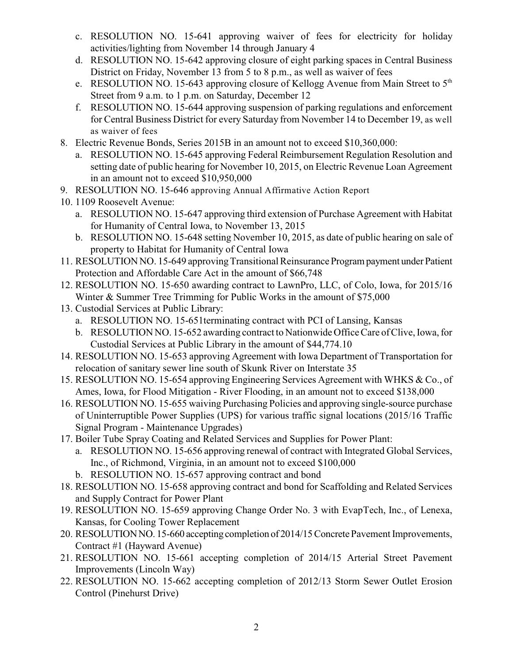- c. RESOLUTION NO. 15-641 approving waiver of fees for electricity for holiday activities/lighting from November 14 through January 4
- d. RESOLUTION NO. 15-642 approving closure of eight parking spaces in Central Business District on Friday, November 13 from 5 to 8 p.m., as well as waiver of fees
- e. RESOLUTION NO. 15-643 approving closure of Kellogg Avenue from Main Street to  $5<sup>th</sup>$ Street from 9 a.m. to 1 p.m. on Saturday, December 12
- f. RESOLUTION NO. 15-644 approving suspension of parking regulations and enforcement for Central Business District for every Saturday from November 14 to December 19, as well as waiver of fees
- 8. Electric Revenue Bonds, Series 2015B in an amount not to exceed \$10,360,000:
	- a. RESOLUTION NO. 15-645 approving Federal Reimbursement Regulation Resolution and setting date of public hearing for November 10, 2015, on Electric Revenue Loan Agreement in an amount not to exceed \$10,950,000
- 9. RESOLUTION NO. 15-646 approving Annual Affirmative Action Report
- 10. 1109 Roosevelt Avenue:
	- a. RESOLUTION NO. 15-647 approving third extension of Purchase Agreement with Habitat for Humanity of Central Iowa, to November 13, 2015
	- b. RESOLUTION NO. 15-648 setting November 10, 2015, as date of public hearing on sale of property to Habitat for Humanity of Central Iowa
- 11. RESOLUTION NO. 15-649 approving Transitional Reinsurance Program payment under Patient Protection and Affordable Care Act in the amount of \$66,748
- 12. RESOLUTION NO. 15-650 awarding contract to LawnPro, LLC, of Colo, Iowa, for 2015/16 Winter & Summer Tree Trimming for Public Works in the amount of \$75,000
- 13. Custodial Services at Public Library:
	- a. RESOLUTION NO. 15-651terminating contract with PCI of Lansing, Kansas
	- b. RESOLUTION NO. 15-652 awarding contract to Nationwide Office Care of Clive, Iowa, for Custodial Services at Public Library in the amount of \$44,774.10
- 14. RESOLUTION NO. 15-653 approving Agreement with Iowa Department of Transportation for relocation of sanitary sewer line south of Skunk River on Interstate 35
- 15. RESOLUTION NO. 15-654 approving Engineering Services Agreement with WHKS & Co., of Ames, Iowa, for Flood Mitigation - River Flooding, in an amount not to exceed \$138,000
- 16. RESOLUTION NO. 15-655 waiving Purchasing Policies and approving single-source purchase of Uninterruptible Power Supplies (UPS) for various traffic signal locations (2015/16 Traffic Signal Program - Maintenance Upgrades)
- 17. Boiler Tube Spray Coating and Related Services and Supplies for Power Plant:
	- a. RESOLUTION NO. 15-656 approving renewal of contract with Integrated Global Services, Inc., of Richmond, Virginia, in an amount not to exceed \$100,000
	- b. RESOLUTION NO. 15-657 approving contract and bond
- 18. RESOLUTION NO. 15-658 approving contract and bond for Scaffolding and Related Services and Supply Contract for Power Plant
- 19. RESOLUTION NO. 15-659 approving Change Order No. 3 with EvapTech, Inc., of Lenexa, Kansas, for Cooling Tower Replacement
- 20. RESOLUTION NO. 15-660 accepting completion of 2014/15 Concrete Pavement Improvements, Contract #1 (Hayward Avenue)
- 21. RESOLUTION NO. 15-661 accepting completion of 2014/15 Arterial Street Pavement Improvements (Lincoln Way)
- 22. RESOLUTION NO. 15-662 accepting completion of 2012/13 Storm Sewer Outlet Erosion Control (Pinehurst Drive)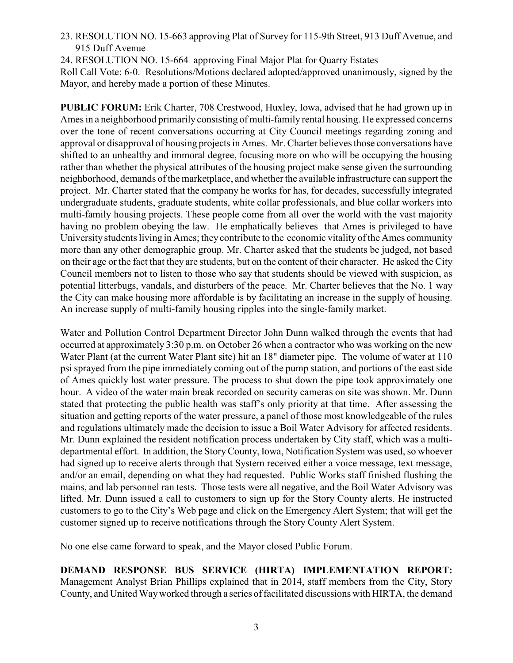23. RESOLUTION NO. 15-663 approving Plat of Survey for 115-9th Street, 913 Duff Avenue, and 915 Duff Avenue

24. RESOLUTION NO. 15-664 approving Final Major Plat for Quarry Estates Roll Call Vote: 6-0. Resolutions/Motions declared adopted/approved unanimously, signed by the Mayor, and hereby made a portion of these Minutes.

**PUBLIC FORUM:** Erik Charter, 708 Crestwood, Huxley, Iowa, advised that he had grown up in Ames in a neighborhood primarily consisting of multi-family rental housing. He expressed concerns over the tone of recent conversations occurring at City Council meetings regarding zoning and approval or disapproval of housing projects in Ames. Mr. Charter believes those conversations have shifted to an unhealthy and immoral degree, focusing more on who will be occupying the housing rather than whether the physical attributes of the housing project make sense given the surrounding neighborhood, demands of the marketplace, and whether the available infrastructure can support the project. Mr. Charter stated that the company he works for has, for decades, successfully integrated undergraduate students, graduate students, white collar professionals, and blue collar workers into multi-family housing projects. These people come from all over the world with the vast majority having no problem obeying the law. He emphatically believes that Ames is privileged to have University students living in Ames; they contribute to the economic vitality of the Ames community more than any other demographic group. Mr. Charter asked that the students be judged, not based on their age or the fact that they are students, but on the content of their character. He asked the City Council members not to listen to those who say that students should be viewed with suspicion, as potential litterbugs, vandals, and disturbers of the peace. Mr. Charter believes that the No. 1 way the City can make housing more affordable is by facilitating an increase in the supply of housing. An increase supply of multi-family housing ripples into the single-family market.

Water and Pollution Control Department Director John Dunn walked through the events that had occurred at approximately 3:30 p.m. on October 26 when a contractor who was working on the new Water Plant (at the current Water Plant site) hit an 18" diameter pipe. The volume of water at 110 psi sprayed from the pipe immediately coming out of the pump station, and portions of the east side of Ames quickly lost water pressure. The process to shut down the pipe took approximately one hour. A video of the water main break recorded on security cameras on site was shown. Mr. Dunn stated that protecting the public health was staff's only priority at that time. After assessing the situation and getting reports of the water pressure, a panel of those most knowledgeable of the rules and regulations ultimately made the decision to issue a Boil Water Advisory for affected residents. Mr. Dunn explained the resident notification process undertaken by City staff, which was a multidepartmental effort. In addition, the Story County, Iowa, Notification System was used, so whoever had signed up to receive alerts through that System received either a voice message, text message, and/or an email, depending on what they had requested. Public Works staff finished flushing the mains, and lab personnel ran tests. Those tests were all negative, and the Boil Water Advisory was lifted. Mr. Dunn issued a call to customers to sign up for the Story County alerts. He instructed customers to go to the City's Web page and click on the Emergency Alert System; that will get the customer signed up to receive notifications through the Story County Alert System.

No one else came forward to speak, and the Mayor closed Public Forum.

**DEMAND RESPONSE BUS SERVICE (HIRTA) IMPLEMENTATION REPORT:** Management Analyst Brian Phillips explained that in 2014, staff members from the City, Story County, and United Way worked through a series of facilitated discussions with HIRTA, the demand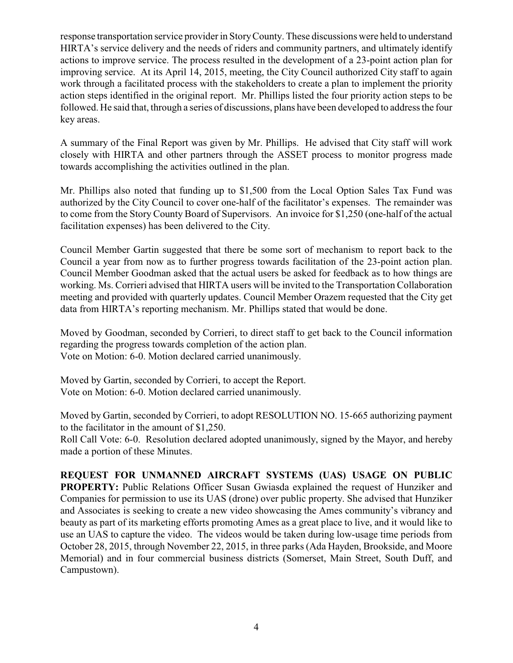response transportation service provider in Story County. These discussions were held to understand HIRTA's service delivery and the needs of riders and community partners, and ultimately identify actions to improve service. The process resulted in the development of a 23-point action plan for improving service. At its April 14, 2015, meeting, the City Council authorized City staff to again work through a facilitated process with the stakeholders to create a plan to implement the priority action steps identified in the original report. Mr. Phillips listed the four priority action steps to be followed. He said that, through a series of discussions, plans have been developed to address the four key areas.

A summary of the Final Report was given by Mr. Phillips. He advised that City staff will work closely with HIRTA and other partners through the ASSET process to monitor progress made towards accomplishing the activities outlined in the plan.

Mr. Phillips also noted that funding up to \$1,500 from the Local Option Sales Tax Fund was authorized by the City Council to cover one-half of the facilitator's expenses. The remainder was to come from the Story County Board of Supervisors. An invoice for \$1,250 (one-half of the actual facilitation expenses) has been delivered to the City.

Council Member Gartin suggested that there be some sort of mechanism to report back to the Council a year from now as to further progress towards facilitation of the 23-point action plan. Council Member Goodman asked that the actual users be asked for feedback as to how things are working. Ms. Corrieri advised that HIRTA users will be invited to the Transportation Collaboration meeting and provided with quarterly updates. Council Member Orazem requested that the City get data from HIRTA's reporting mechanism. Mr. Phillips stated that would be done.

Moved by Goodman, seconded by Corrieri, to direct staff to get back to the Council information regarding the progress towards completion of the action plan. Vote on Motion: 6-0. Motion declared carried unanimously.

Moved by Gartin, seconded by Corrieri, to accept the Report. Vote on Motion: 6-0. Motion declared carried unanimously.

Moved by Gartin, seconded by Corrieri, to adopt RESOLUTION NO. 15-665 authorizing payment to the facilitator in the amount of \$1,250.

Roll Call Vote: 6-0. Resolution declared adopted unanimously, signed by the Mayor, and hereby made a portion of these Minutes.

**REQUEST FOR UNMANNED AIRCRAFT SYSTEMS (UAS) USAGE ON PUBLIC PROPERTY:** Public Relations Officer Susan Gwiasda explained the request of Hunziker and Companies for permission to use its UAS (drone) over public property. She advised that Hunziker and Associates is seeking to create a new video showcasing the Ames community's vibrancy and beauty as part of its marketing efforts promoting Ames as a great place to live, and it would like to use an UAS to capture the video. The videos would be taken during low-usage time periods from October 28, 2015, through November 22, 2015, in three parks (Ada Hayden, Brookside, and Moore Memorial) and in four commercial business districts (Somerset, Main Street, South Duff, and Campustown).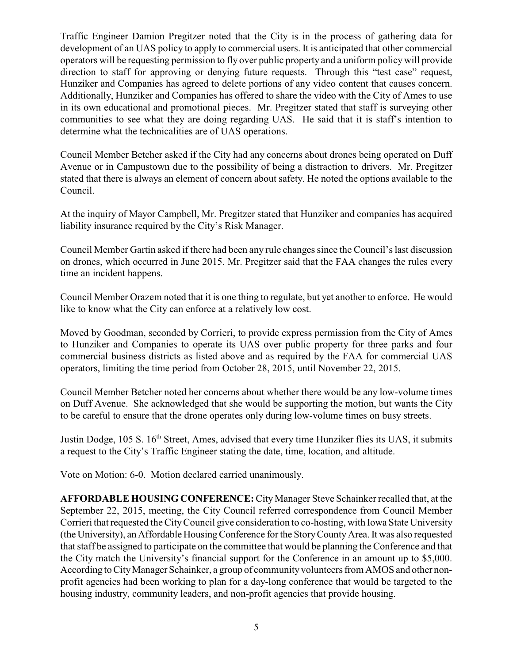Traffic Engineer Damion Pregitzer noted that the City is in the process of gathering data for development of an UAS policy to apply to commercial users. It is anticipated that other commercial operators will be requesting permission to fly over public property and a uniform policy will provide direction to staff for approving or denying future requests. Through this "test case" request, Hunziker and Companies has agreed to delete portions of any video content that causes concern. Additionally, Hunziker and Companies has offered to share the video with the City of Ames to use in its own educational and promotional pieces. Mr. Pregitzer stated that staff is surveying other communities to see what they are doing regarding UAS. He said that it is staff's intention to determine what the technicalities are of UAS operations.

Council Member Betcher asked if the City had any concerns about drones being operated on Duff Avenue or in Campustown due to the possibility of being a distraction to drivers. Mr. Pregitzer stated that there is always an element of concern about safety. He noted the options available to the Council.

At the inquiry of Mayor Campbell, Mr. Pregitzer stated that Hunziker and companies has acquired liability insurance required by the City's Risk Manager.

Council Member Gartin asked if there had been any rule changes since the Council's last discussion on drones, which occurred in June 2015. Mr. Pregitzer said that the FAA changes the rules every time an incident happens.

Council Member Orazem noted that it is one thing to regulate, but yet another to enforce. He would like to know what the City can enforce at a relatively low cost.

Moved by Goodman, seconded by Corrieri, to provide express permission from the City of Ames to Hunziker and Companies to operate its UAS over public property for three parks and four commercial business districts as listed above and as required by the FAA for commercial UAS operators, limiting the time period from October 28, 2015, until November 22, 2015.

Council Member Betcher noted her concerns about whether there would be any low-volume times on Duff Avenue. She acknowledged that she would be supporting the motion, but wants the City to be careful to ensure that the drone operates only during low-volume times on busy streets.

Justin Dodge, 105 S. 16<sup>th</sup> Street, Ames, advised that every time Hunziker flies its UAS, it submits a request to the City's Traffic Engineer stating the date, time, location, and altitude.

Vote on Motion: 6-0. Motion declared carried unanimously.

**AFFORDABLE HOUSING CONFERENCE:** City Manager Steve Schainker recalled that, at the September 22, 2015, meeting, the City Council referred correspondence from Council Member Corrieri that requested theCityCouncil give consideration to co-hosting, with Iowa State University (the University), an Affordable HousingConference for the Story County Area. It was also requested that staff be assigned to participate on the committee that would be planning the Conference and that the City match the University's financial support for the Conference in an amount up to \$5,000. According to City Manager Schainker, a group of community volunteers from AMOS and other nonprofit agencies had been working to plan for a day-long conference that would be targeted to the housing industry, community leaders, and non-profit agencies that provide housing.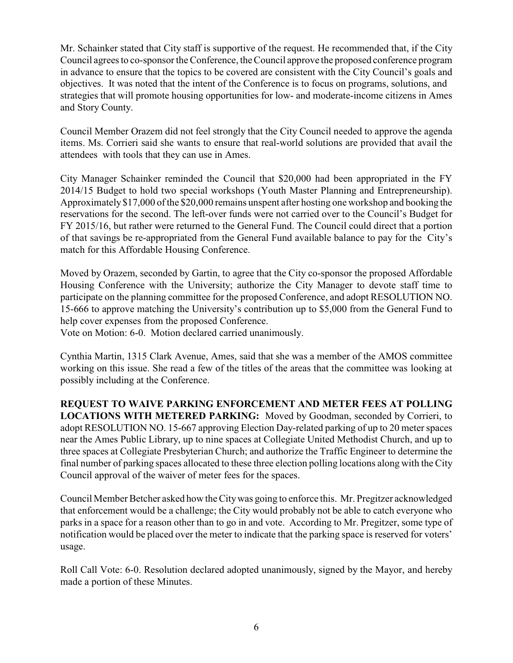Mr. Schainker stated that City staff is supportive of the request. He recommended that, if the City Council agrees to co-sponsor the Conference, the Council approve the proposed conference program in advance to ensure that the topics to be covered are consistent with the City Council's goals and objectives. It was noted that the intent of the Conference is to focus on programs, solutions, and strategies that will promote housing opportunities for low- and moderate-income citizens in Ames and Story County.

Council Member Orazem did not feel strongly that the City Council needed to approve the agenda items. Ms. Corrieri said she wants to ensure that real-world solutions are provided that avail the attendees with tools that they can use in Ames.

City Manager Schainker reminded the Council that \$20,000 had been appropriated in the FY 2014/15 Budget to hold two special workshops (Youth Master Planning and Entrepreneurship). Approximately \$17,000 of the \$20,000 remains unspent after hosting one workshop and booking the reservations for the second. The left-over funds were not carried over to the Council's Budget for FY 2015/16, but rather were returned to the General Fund. The Council could direct that a portion of that savings be re-appropriated from the General Fund available balance to pay for the City's match for this Affordable Housing Conference.

Moved by Orazem, seconded by Gartin, to agree that the City co-sponsor the proposed Affordable Housing Conference with the University; authorize the City Manager to devote staff time to participate on the planning committee for the proposed Conference, and adopt RESOLUTION NO. 15-666 to approve matching the University's contribution up to \$5,000 from the General Fund to help cover expenses from the proposed Conference.

Vote on Motion: 6-0. Motion declared carried unanimously.

Cynthia Martin, 1315 Clark Avenue, Ames, said that she was a member of the AMOS committee working on this issue. She read a few of the titles of the areas that the committee was looking at possibly including at the Conference.

**REQUEST TO WAIVE PARKING ENFORCEMENT AND METER FEES AT POLLING LOCATIONS WITH METERED PARKING:** Moved by Goodman, seconded by Corrieri, to adopt RESOLUTION NO. 15-667 approving Election Day-related parking of up to 20 meter spaces near the Ames Public Library, up to nine spaces at Collegiate United Methodist Church, and up to three spaces at Collegiate Presbyterian Church; and authorize the Traffic Engineer to determine the final number of parking spaces allocated to these three election polling locations along with the City Council approval of the waiver of meter fees for the spaces.

Council Member Betcher asked how the Citywas going to enforce this. Mr. Pregitzer acknowledged that enforcement would be a challenge; the City would probably not be able to catch everyone who parks in a space for a reason other than to go in and vote. According to Mr. Pregitzer, some type of notification would be placed over the meter to indicate that the parking space is reserved for voters' usage.

Roll Call Vote: 6-0. Resolution declared adopted unanimously, signed by the Mayor, and hereby made a portion of these Minutes.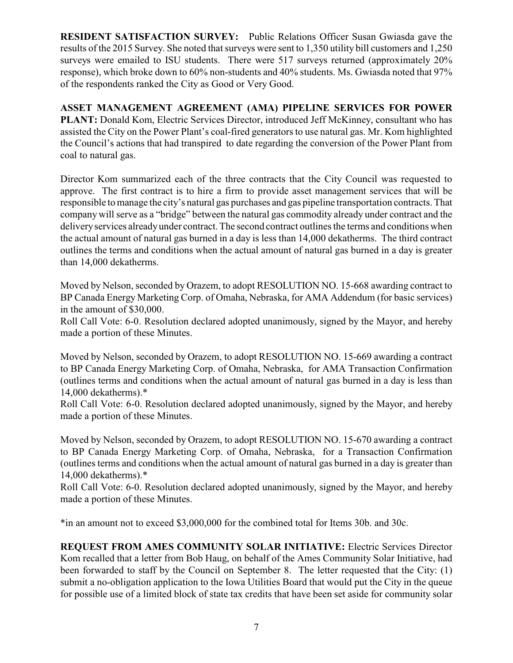**RESIDENT SATISFACTION SURVEY:** Public Relations Officer Susan Gwiasda gave the results of the 2015 Survey. She noted that surveys were sent to 1,350 utility bill customers and 1,250 surveys were emailed to ISU students. There were 517 surveys returned (approximately  $20\%$ ) response), which broke down to 60% non-students and 40% students. Ms. Gwiasda noted that 97% of the respondents ranked the City as Good or Very Good.

**ASSET MANAGEMENT AGREEMENT (AMA) PIPELINE SERVICES FOR POWER** PLANT: Donald Kom, Electric Services Director, introduced Jeff McKinney, consultant who has assisted the City on the Power Plant's coal-fired generators to use natural gas. Mr. Kom highlighted the Council's actions that had transpired to date regarding the conversion of the Power Plant from coal to natural gas.

Director Kom summarized each of the three contracts that the City Council was requested to approve. The first contract is to hire a firm to provide asset management services that will be responsible to manage the city's natural gas purchases and gas pipeline transportation contracts. That company will serve as a "bridge" between the natural gas commodity already under contract and the deliveryservices alreadyunder contract. The second contract outlines the terms and conditions when the actual amount of natural gas burned in a day is less than 14,000 dekatherms. The third contract outlines the terms and conditions when the actual amount of natural gas burned in a day is greater than 14,000 dekatherms.

Moved by Nelson, seconded by Orazem, to adopt RESOLUTION NO. 15-668 awarding contract to BP Canada Energy Marketing Corp. of Omaha, Nebraska, for AMA Addendum (for basic services) in the amount of \$30,000.

Roll Call Vote: 6-0. Resolution declared adopted unanimously, signed by the Mayor, and hereby made a portion of these Minutes.

Moved by Nelson, seconded by Orazem, to adopt RESOLUTION NO. 15-669 awarding a contract to BP Canada Energy Marketing Corp. of Omaha, Nebraska, for AMA Transaction Confirmation (outlines terms and conditions when the actual amount of natural gas burned in a day is less than 14,000 dekatherms).\*

Roll Call Vote: 6-0. Resolution declared adopted unanimously, signed by the Mayor, and hereby made a portion of these Minutes.

Moved by Nelson, seconded by Orazem, to adopt RESOLUTION NO. 15-670 awarding a contract to BP Canada Energy Marketing Corp. of Omaha, Nebraska, for a Transaction Confirmation (outlines terms and conditions when the actual amount of natural gas burned in a day is greater than 14,000 dekatherms).\*

Roll Call Vote: 6-0. Resolution declared adopted unanimously, signed by the Mayor, and hereby made a portion of these Minutes.

\*in an amount not to exceed \$3,000,000 for the combined total for Items 30b. and 30c.

**REQUEST FROM AMES COMMUNITY SOLAR INITIATIVE:** Electric Services Director Kom recalled that a letter from Bob Haug, on behalf of the Ames Community Solar Initiative, had been forwarded to staff by the Council on September 8. The letter requested that the City: (1) submit a no-obligation application to the Iowa Utilities Board that would put the City in the queue for possible use of a limited block of state tax credits that have been set aside for community solar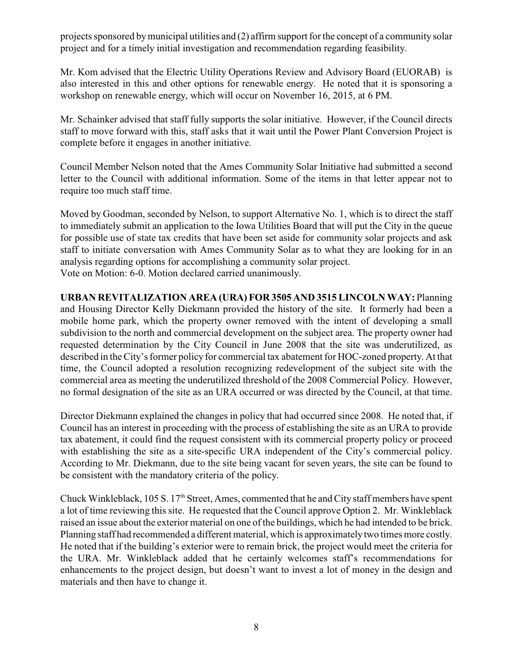projects sponsored by municipal utilities and (2) affirm support for the concept of a community solar project and for a timely initial investigation and recommendation regarding feasibility.

Mr. Kom advised that the Electric Utility Operations Review and Advisory Board (EUORAB) is also interested in this and other options for renewable energy. He noted that it is sponsoring a workshop on renewable energy, which will occur on November 16, 2015, at 6 PM.

Mr. Schainker advised that staff fully supports the solar initiative. However, if the Council directs staff to move forward with this, staff asks that it wait until the Power Plant Conversion Project is complete before it engages in another initiative.

Council Member Nelson noted that the Ames Community Solar Initiative had submitted a second letter to the Council with additional information. Some of the items in that letter appear not to require too much staff time.

Moved by Goodman, seconded by Nelson, to support Alternative No. 1, which is to direct the staff to immediately submit an application to the Iowa Utilities Board that will put the City in the queue for possible use of state tax credits that have been set aside for community solar projects and ask staff to initiate conversation with Ames Community Solar as to what they are looking for in an analysis regarding options for accomplishing a community solar project. Vote on Motion: 6-0. Motion declared carried unanimously.

**URBAN REVITALIZATION AREA (URA) FOR 3505 AND 3515 LINCOLN WAY:** Planning and Housing Director Kelly Diekmann provided the history of the site. It formerly had been a mobile home park, which the property owner removed with the intent of developing a small subdivision to the north and commercial development on the subject area. The property owner had requested determination by the City Council in June 2008 that the site was underutilized, as described in the City's former policy for commercial tax abatement for HOC-zoned property. At that time, the Council adopted a resolution recognizing redevelopment of the subject site with the commercial area as meeting the underutilized threshold of the 2008 Commercial Policy. However, no formal designation of the site as an URA occurred or was directed by the Council, at that time.

Director Diekmann explained the changes in policy that had occurred since 2008. He noted that, if Council has an interest in proceeding with the process of establishing the site as an URA to provide tax abatement, it could find the request consistent with its commercial property policy or proceed with establishing the site as a site-specific URA independent of the City's commercial policy. According to Mr. Diekmann, due to the site being vacant for seven years, the site can be found to be consistent with the mandatory criteria of the policy.

Chuck Winkleblack, 105 S.  $17<sup>th</sup>$  Street, Ames, commented that he and City staff members have spent a lot of time reviewing this site. He requested that the Council approve Option 2. Mr. Winkleblack raised an issue about the exterior material on one of the buildings, which he had intended to be brick. Planning staff had recommended a different material, which is approximately two times more costly. He noted that if the building's exterior were to remain brick, the project would meet the criteria for the URA. Mr. Winkleblack added that he certainly welcomes staff's recommendations for enhancements to the project design, but doesn't want to invest a lot of money in the design and materials and then have to change it.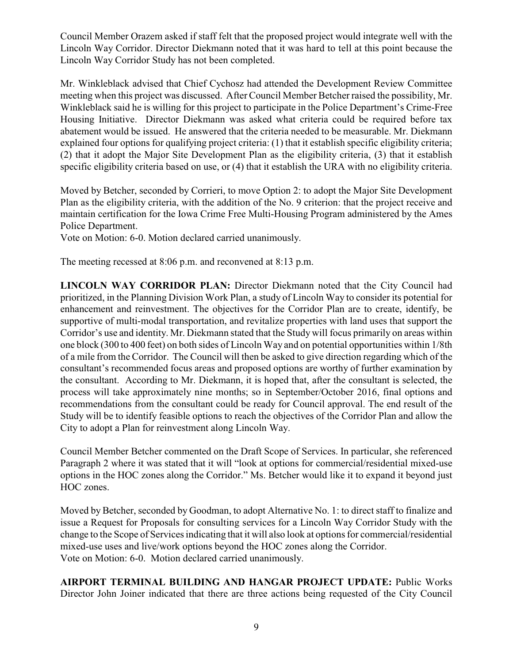Council Member Orazem asked if staff felt that the proposed project would integrate well with the Lincoln Way Corridor. Director Diekmann noted that it was hard to tell at this point because the Lincoln Way Corridor Study has not been completed.

Mr. Winkleblack advised that Chief Cychosz had attended the Development Review Committee meeting when this project was discussed. After Council Member Betcher raised the possibility, Mr. Winkleblack said he is willing for this project to participate in the Police Department's Crime-Free Housing Initiative. Director Diekmann was asked what criteria could be required before tax abatement would be issued. He answered that the criteria needed to be measurable. Mr. Diekmann explained four options for qualifying project criteria: (1) that it establish specific eligibility criteria; (2) that it adopt the Major Site Development Plan as the eligibility criteria, (3) that it establish specific eligibility criteria based on use, or (4) that it establish the URA with no eligibility criteria.

Moved by Betcher, seconded by Corrieri, to move Option 2: to adopt the Major Site Development Plan as the eligibility criteria, with the addition of the No. 9 criterion: that the project receive and maintain certification for the Iowa Crime Free Multi-Housing Program administered by the Ames Police Department.

Vote on Motion: 6-0. Motion declared carried unanimously.

The meeting recessed at 8:06 p.m. and reconvened at 8:13 p.m.

**LINCOLN WAY CORRIDOR PLAN:** Director Diekmann noted that the City Council had prioritized, in the Planning Division Work Plan, a study of Lincoln Way to consider its potential for enhancement and reinvestment. The objectives for the Corridor Plan are to create, identify, be supportive of multi-modal transportation, and revitalize properties with land uses that support the Corridor's use and identity. Mr. Diekmann stated that the Study will focus primarily on areas within one block (300 to 400 feet) on both sides of Lincoln Way and on potential opportunities within 1/8th of a mile from the Corridor. The Council will then be asked to give direction regarding which of the consultant's recommended focus areas and proposed options are worthy of further examination by the consultant. According to Mr. Diekmann, it is hoped that, after the consultant is selected, the process will take approximately nine months; so in September/October 2016, final options and recommendations from the consultant could be ready for Council approval. The end result of the Study will be to identify feasible options to reach the objectives of the Corridor Plan and allow the City to adopt a Plan for reinvestment along Lincoln Way.

Council Member Betcher commented on the Draft Scope of Services. In particular, she referenced Paragraph 2 where it was stated that it will "look at options for commercial/residential mixed-use options in the HOC zones along the Corridor." Ms. Betcher would like it to expand it beyond just HOC zones.

Moved by Betcher, seconded by Goodman, to adopt Alternative No. 1: to direct staff to finalize and issue a Request for Proposals for consulting services for a Lincoln Way Corridor Study with the change to the Scope of Services indicating that it will also look at options for commercial/residential mixed-use uses and live/work options beyond the HOC zones along the Corridor. Vote on Motion: 6-0. Motion declared carried unanimously.

**AIRPORT TERMINAL BUILDING AND HANGAR PROJECT UPDATE:** Public Works Director John Joiner indicated that there are three actions being requested of the City Council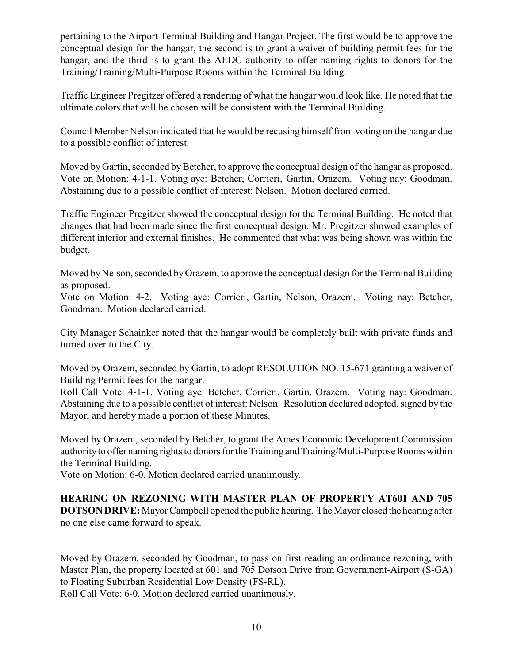pertaining to the Airport Terminal Building and Hangar Project. The first would be to approve the conceptual design for the hangar, the second is to grant a waiver of building permit fees for the hangar, and the third is to grant the AEDC authority to offer naming rights to donors for the Training/Training/Multi-Purpose Rooms within the Terminal Building.

Traffic Engineer Pregitzer offered a rendering of what the hangar would look like. He noted that the ultimate colors that will be chosen will be consistent with the Terminal Building.

Council Member Nelson indicated that he would be recusing himself from voting on the hangar due to a possible conflict of interest.

Moved by Gartin, seconded by Betcher, to approve the conceptual design of the hangar as proposed. Vote on Motion: 4-1-1. Voting aye: Betcher, Corrieri, Gartin, Orazem. Voting nay: Goodman. Abstaining due to a possible conflict of interest: Nelson. Motion declared carried.

Traffic Engineer Pregitzer showed the conceptual design for the Terminal Building. He noted that changes that had been made since the first conceptual design. Mr. Pregitzer showed examples of different interior and external finishes. He commented that what was being shown was within the budget.

Moved by Nelson, seconded by Orazem, to approve the conceptual design for the Terminal Building as proposed.

Vote on Motion: 4-2. Voting aye: Corrieri, Gartin, Nelson, Orazem. Voting nay: Betcher, Goodman. Motion declared carried.

City Manager Schainker noted that the hangar would be completely built with private funds and turned over to the City.

Moved by Orazem, seconded by Gartin, to adopt RESOLUTION NO. 15-671 granting a waiver of Building Permit fees for the hangar.

Roll Call Vote: 4-1-1. Voting aye: Betcher, Corrieri, Gartin, Orazem. Voting nay: Goodman. Abstaining due to a possible conflict of interest: Nelson. Resolution declared adopted, signed by the Mayor, and hereby made a portion of these Minutes.

Moved by Orazem, seconded by Betcher, to grant the Ames Economic Development Commission authority to offer naming rights to donors for the Training and Training/Multi-Purpose Rooms within the Terminal Building.

Vote on Motion: 6-0. Motion declared carried unanimously.

**HEARING ON REZONING WITH MASTER PLAN OF PROPERTY AT601 AND 705 DOTSON DRIVE:** Mayor Campbell opened the public hearing. The Mayor closed the hearing after no one else came forward to speak.

Moved by Orazem, seconded by Goodman, to pass on first reading an ordinance rezoning, with Master Plan, the property located at 601 and 705 Dotson Drive from Government-Airport (S-GA) to Floating Suburban Residential Low Density (FS-RL).

Roll Call Vote: 6-0. Motion declared carried unanimously.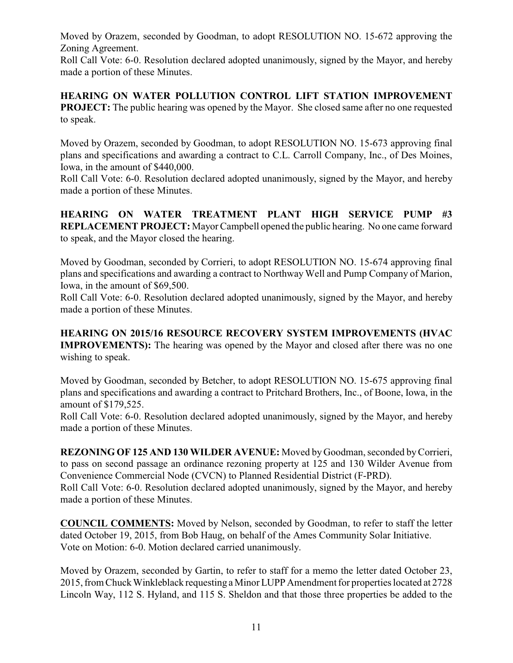Moved by Orazem, seconded by Goodman, to adopt RESOLUTION NO. 15-672 approving the Zoning Agreement.

Roll Call Vote: 6-0. Resolution declared adopted unanimously, signed by the Mayor, and hereby made a portion of these Minutes.

**HEARING ON WATER POLLUTION CONTROL LIFT STATION IMPROVEMENT PROJECT:** The public hearing was opened by the Mayor. She closed same after no one requested to speak.

Moved by Orazem, seconded by Goodman, to adopt RESOLUTION NO. 15-673 approving final plans and specifications and awarding a contract to C.L. Carroll Company, Inc., of Des Moines, Iowa, in the amount of \$440,000.

Roll Call Vote: 6-0. Resolution declared adopted unanimously, signed by the Mayor, and hereby made a portion of these Minutes.

**HEARING ON WATER TREATMENT PLANT HIGH SERVICE PUMP #3 REPLACEMENT PROJECT:** Mayor Campbell opened the public hearing. No one came forward to speak, and the Mayor closed the hearing.

Moved by Goodman, seconded by Corrieri, to adopt RESOLUTION NO. 15-674 approving final plans and specifications and awarding a contract to Northway Well and Pump Company of Marion, Iowa, in the amount of \$69,500.

Roll Call Vote: 6-0. Resolution declared adopted unanimously, signed by the Mayor, and hereby made a portion of these Minutes.

**HEARING ON 2015/16 RESOURCE RECOVERY SYSTEM IMPROVEMENTS (HVAC IMPROVEMENTS):** The hearing was opened by the Mayor and closed after there was no one wishing to speak.

Moved by Goodman, seconded by Betcher, to adopt RESOLUTION NO. 15-675 approving final plans and specifications and awarding a contract to Pritchard Brothers, Inc., of Boone, Iowa, in the amount of \$179,525.

Roll Call Vote: 6-0. Resolution declared adopted unanimously, signed by the Mayor, and hereby made a portion of these Minutes.

**REZONING OF 125 AND 130 WILDER AVENUE:** Moved by Goodman, seconded by Corrieri, to pass on second passage an ordinance rezoning property at 125 and 130 Wilder Avenue from Convenience Commercial Node (CVCN) to Planned Residential District (F-PRD).

Roll Call Vote: 6-0. Resolution declared adopted unanimously, signed by the Mayor, and hereby made a portion of these Minutes.

**COUNCIL COMMENTS:** Moved by Nelson, seconded by Goodman, to refer to staff the letter dated October 19, 2015, from Bob Haug, on behalf of the Ames Community Solar Initiative. Vote on Motion: 6-0. Motion declared carried unanimously.

Moved by Orazem, seconded by Gartin, to refer to staff for a memo the letter dated October 23, 2015, from Chuck Winkleblack requesting a Minor LUPP Amendment for properties located at 2728 Lincoln Way, 112 S. Hyland, and 115 S. Sheldon and that those three properties be added to the